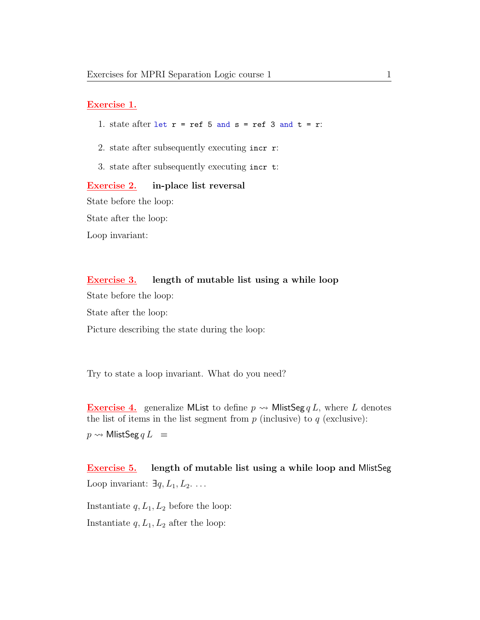## Exercise 1.

- 1. state after let  $r = ref 5$  and  $s = ref 3$  and  $t = r$ :
- 2. state after subsequently executing incr r:
- 3. state after subsequently executing incr t:

Exercise 2. in-place list reversal State before the loop: State after the loop: Loop invariant:

## Exercise 3. length of mutable list using a while loop

State before the loop:

State after the loop:

Picture describing the state during the loop:

Try to state a loop invariant. What do you need?

**Exercise 4.** generalize MList to define  $p \rightarrow$  MlistSeg q L, where L denotes the list of items in the list segment from  $p$  (inclusive) to  $q$  (exclusive):  $p \rightsquigarrow$  MlistSeg  $qL$  =

Exercise 5. length of mutable list using a while loop and MlistSeg Loop invariant:  $\exists q, L_1, L_2$ ...

Instantiate  $q, L_1, L_2$  before the loop: Instantiate  $q, L_1, L_2$  after the loop: